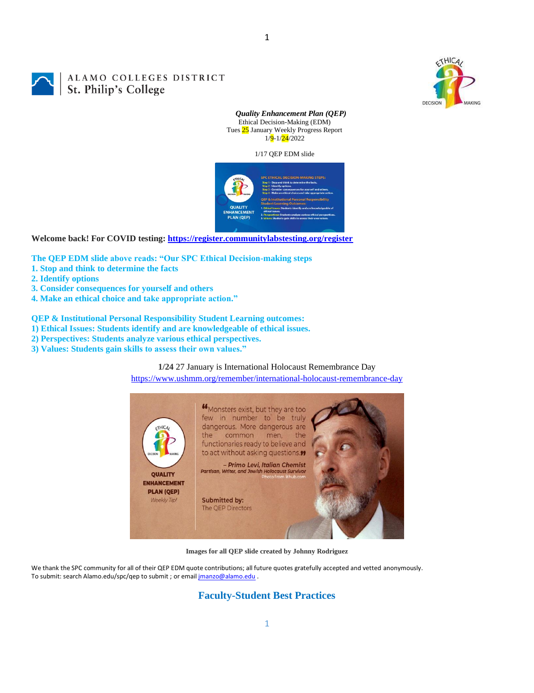

# ALAMO COLLEGES DISTRICT St. Philip's College

*Quality Enhancement Plan (QEP)* Ethical Decision-Making (EDM) Tues 25 January Weekly Progress Report 1/<mark>9</mark>-1/<mark>24</mark>/2022

1

1/17 QEP EDM slide



**Welcome back! For COVID testing:<https://register.communitylabstesting.org/register>**

**The QEP EDM slide above reads: "Our SPC Ethical Decision-making steps** 

- **1. Stop and think to determine the facts**
- **2. Identify options**
- **3. Consider consequences for yourself and others**
- **4. Make an ethical choice and take appropriate action."**

**QEP & Institutional Personal Responsibility Student Learning outcomes:** 

- **1) Ethical Issues: Students identify and are knowledgeable of ethical issues.**
- **2) Perspectives: Students analyze various ethical perspectives.**
- **3) Values: Students gain skills to assess their own values."**

#### **1/24** 27 January is International Holocaust Remembrance Day

<https://www.ushmm.org/remember/international-holocaust-remembrance-day>



**Images for all QEP slide created by Johnny Rodriguez**

We thank the SPC community for all of their QEP EDM quote contributions; all future quotes gratefully accepted and vetted anonymously. To submit: search Alamo.edu/spc/qep to submit ; or email *imanzo@alamo.edu* .

## **Faculty-Student Best Practices**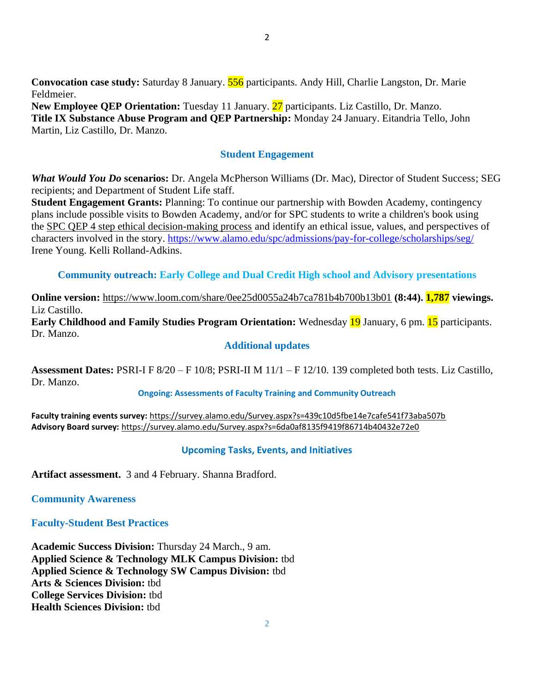**Convocation case study:** Saturday 8 January. 556 participants. Andy Hill, Charlie Langston, Dr. Marie Feldmeier.

New Employee QEP Orientation: Tuesday 11 January. 27 participants. Liz Castillo, Dr. Manzo. **Title IX Substance Abuse Program and QEP Partnership:** Monday 24 January. Eitandria Tello, John Martin, Liz Castillo, Dr. Manzo.

## **Student Engagement**

*What Would You Do* **scenarios:** Dr. Angela McPherson Williams (Dr. Mac), Director of Student Success; SEG recipients; and Department of Student Life staff.

**Student Engagement Grants:** Planning: To continue our partnership with Bowden Academy, contingency plans include possible visits to Bowden Academy, and/or for SPC students to write a children's book using the [SPC QEP 4 step ethical decision-making process](https://mail.alamo.edu/owa/redir.aspx?REF=QPGGgOE-3HbbrbCAzqBFQWbtY3e2Gc0f0qSFld99-4hqZWSPr8DYCAFodHRwczovL3d3dy5hbGFtby5lZHUvbGluay8zYjg5NjQxMTY3MGY0YTZlYjU2MzNkNGFmNjE1OTBjNC5hc3B4) and identify an ethical issue, values, and perspectives of characters involved in the story.<https://www.alamo.edu/spc/admissions/pay-for-college/scholarships/seg/> Irene Young. Kelli Rolland-Adkins.

**Community outreach: Early College and Dual Credit High school and Advisory presentations**

**Online version:** <https://www.loom.com/share/0ee25d0055a24b7ca781b4b700b13b01> **(8:44). 1,787 viewings.** Liz Castillo.

**Early Childhood and Family Studies Program Orientation:** Wednesday 19 January, 6 pm. 15 participants. Dr. Manzo.

#### **Additional updates**

**Assessment Dates:** PSRI-I F 8/20 – F 10/8; PSRI-II M 11/1 – F 12/10. 139 completed both tests. Liz Castillo, Dr. Manzo.

#### **Ongoing: Assessments of Faculty Training and Community Outreach**

**Faculty training events survey:** <https://survey.alamo.edu/Survey.aspx?s=439c10d5fbe14e7cafe541f73aba507b> **Advisory Board survey:** [https://survey.alamo.edu/Survey.aspx?s=6da0af8135f9419f86714b40432e72e0](https://mail.alamo.edu/owa/redir.aspx?C=ltSuwFrmmhFPV6kAmiCFHriyLNGIl0PeNuaCUMi1FWtl6dwQ6ubXCA..&URL=https%3a%2f%2fsurvey.alamo.edu%2fSurvey.aspx%3fs%3d6da0af8135f9419f86714b40432e72e0)

## **Upcoming Tasks, Events, and Initiatives**

**Artifact assessment.** 3 and 4 February. Shanna Bradford.

**Community Awareness**

**Faculty-Student Best Practices**

**Academic Success Division:** Thursday 24 March., 9 am. **Applied Science & Technology MLK Campus Division:** tbd **Applied Science & Technology SW Campus Division:** tbd **Arts & Sciences Division:** tbd **College Services Division:** tbd **Health Sciences Division:** tbd